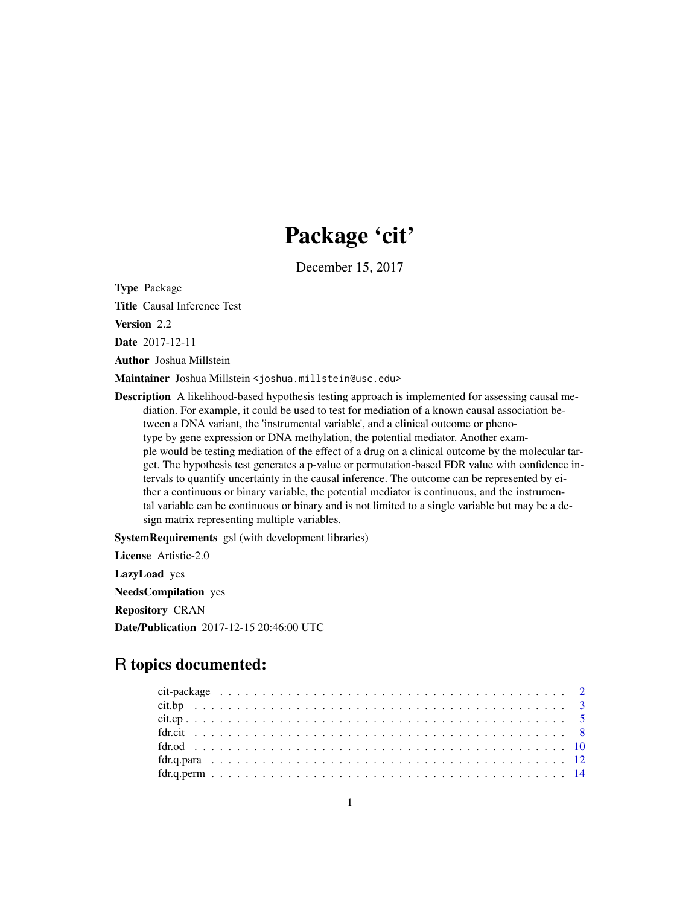## Package 'cit'

December 15, 2017

Type Package

Title Causal Inference Test

Version 2.2

Date 2017-12-11

Author Joshua Millstein

Maintainer Joshua Millstein <joshua.millstein@usc.edu>

Description A likelihood-based hypothesis testing approach is implemented for assessing causal mediation. For example, it could be used to test for mediation of a known causal association between a DNA variant, the 'instrumental variable', and a clinical outcome or phenotype by gene expression or DNA methylation, the potential mediator. Another example would be testing mediation of the effect of a drug on a clinical outcome by the molecular target. The hypothesis test generates a p-value or permutation-based FDR value with confidence intervals to quantify uncertainty in the causal inference. The outcome can be represented by either a continuous or binary variable, the potential mediator is continuous, and the instrumental variable can be continuous or binary and is not limited to a single variable but may be a design matrix representing multiple variables.

SystemRequirements gsl (with development libraries)

License Artistic-2.0 LazyLoad yes NeedsCompilation yes Repository CRAN Date/Publication 2017-12-15 20:46:00 UTC

## R topics documented: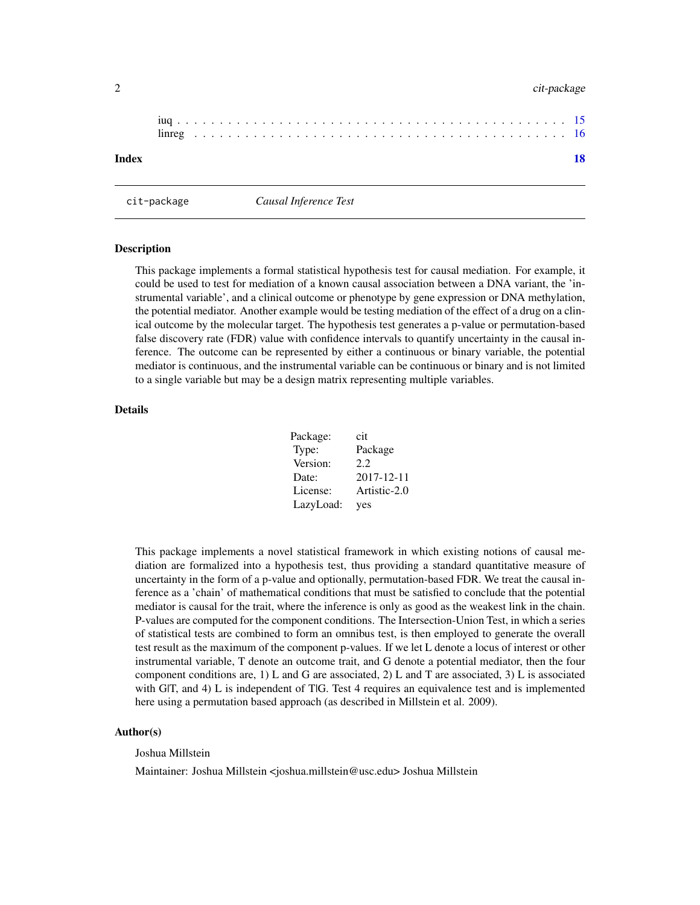## <span id="page-1-0"></span>2 cit-package

| Index |  |  |  |  |  |  |  |  |  |  |  |  |  |  |  |  |  |  |  |  |
|-------|--|--|--|--|--|--|--|--|--|--|--|--|--|--|--|--|--|--|--|--|

#### Description

cit-package *Causal Inference Test*

This package implements a formal statistical hypothesis test for causal mediation. For example, it could be used to test for mediation of a known causal association between a DNA variant, the 'instrumental variable', and a clinical outcome or phenotype by gene expression or DNA methylation, the potential mediator. Another example would be testing mediation of the effect of a drug on a clinical outcome by the molecular target. The hypothesis test generates a p-value or permutation-based false discovery rate (FDR) value with confidence intervals to quantify uncertainty in the causal inference. The outcome can be represented by either a continuous or binary variable, the potential mediator is continuous, and the instrumental variable can be continuous or binary and is not limited to a single variable but may be a design matrix representing multiple variables.

#### Details

| Package:  | cit          |
|-----------|--------------|
| Type:     | Package      |
| Version:  | 2.2          |
| Date:     | 2017-12-11   |
| License:  | Artistic-2.0 |
| LazyLoad: | yes          |

This package implements a novel statistical framework in which existing notions of causal mediation are formalized into a hypothesis test, thus providing a standard quantitative measure of uncertainty in the form of a p-value and optionally, permutation-based FDR. We treat the causal inference as a 'chain' of mathematical conditions that must be satisfied to conclude that the potential mediator is causal for the trait, where the inference is only as good as the weakest link in the chain. P-values are computed for the component conditions. The Intersection-Union Test, in which a series of statistical tests are combined to form an omnibus test, is then employed to generate the overall test result as the maximum of the component p-values. If we let L denote a locus of interest or other instrumental variable, T denote an outcome trait, and G denote a potential mediator, then the four component conditions are, 1) L and G are associated, 2) L and T are associated, 3) L is associated with GIT, and 4) L is independent of TIG. Test 4 requires an equivalence test and is implemented here using a permutation based approach (as described in Millstein et al. 2009).

#### Author(s)

#### Joshua Millstein

Maintainer: Joshua Millstein <joshua.millstein@usc.edu> Joshua Millstein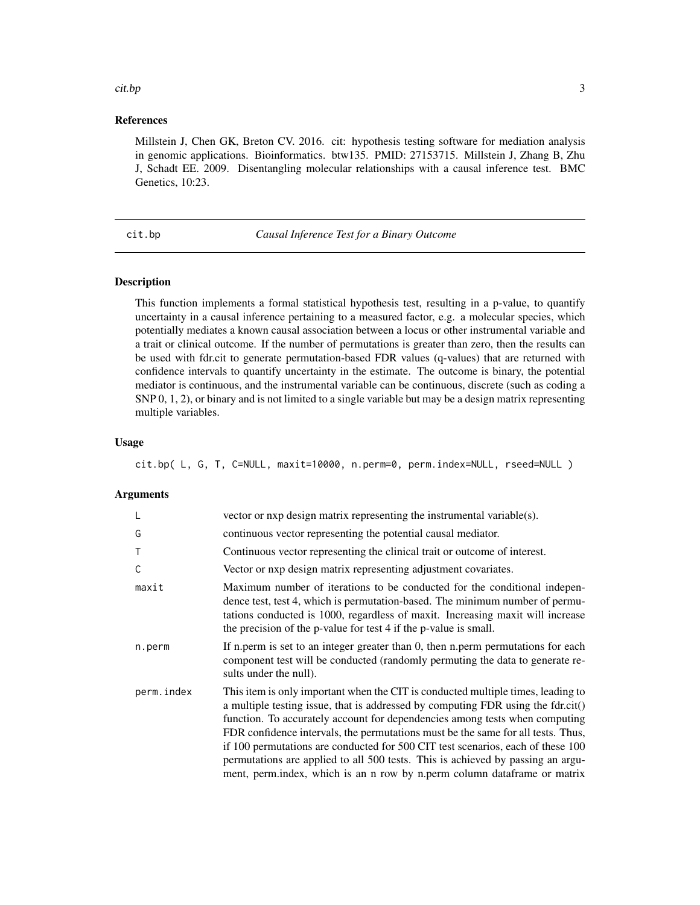#### <span id="page-2-0"></span>cit.bp 3

## References

Millstein J, Chen GK, Breton CV. 2016. cit: hypothesis testing software for mediation analysis in genomic applications. Bioinformatics. btw135. PMID: 27153715. Millstein J, Zhang B, Zhu J, Schadt EE. 2009. Disentangling molecular relationships with a causal inference test. BMC Genetics, 10:23.

cit.bp *Causal Inference Test for a Binary Outcome*

## **Description**

This function implements a formal statistical hypothesis test, resulting in a p-value, to quantify uncertainty in a causal inference pertaining to a measured factor, e.g. a molecular species, which potentially mediates a known causal association between a locus or other instrumental variable and a trait or clinical outcome. If the number of permutations is greater than zero, then the results can be used with fdr.cit to generate permutation-based FDR values (q-values) that are returned with confidence intervals to quantify uncertainty in the estimate. The outcome is binary, the potential mediator is continuous, and the instrumental variable can be continuous, discrete (such as coding a SNP 0, 1, 2), or binary and is not limited to a single variable but may be a design matrix representing multiple variables.

#### Usage

cit.bp( L, G, T, C=NULL, maxit=10000, n.perm=0, perm.index=NULL, rseed=NULL )

## Arguments

| L          | vector or nxp design matrix representing the instrumental variable(s).                                                                                                                                                                                                                                                                                                                                                                                                                                                                                                                    |
|------------|-------------------------------------------------------------------------------------------------------------------------------------------------------------------------------------------------------------------------------------------------------------------------------------------------------------------------------------------------------------------------------------------------------------------------------------------------------------------------------------------------------------------------------------------------------------------------------------------|
| Ġ          | continuous vector representing the potential causal mediator.                                                                                                                                                                                                                                                                                                                                                                                                                                                                                                                             |
| T          | Continuous vector representing the clinical trait or outcome of interest.                                                                                                                                                                                                                                                                                                                                                                                                                                                                                                                 |
| Ċ          | Vector or nxp design matrix representing adjustment covariates.                                                                                                                                                                                                                                                                                                                                                                                                                                                                                                                           |
| maxit      | Maximum number of iterations to be conducted for the conditional indepen-<br>dence test, test 4, which is permutation-based. The minimum number of permu-<br>tations conducted is 1000, regardless of maxit. Increasing maxit will increase<br>the precision of the p-value for test 4 if the p-value is small.                                                                                                                                                                                                                                                                           |
| n.perm     | If n.perm is set to an integer greater than $0$ , then n.perm permutations for each<br>component test will be conducted (randomly permuting the data to generate re-<br>sults under the null).                                                                                                                                                                                                                                                                                                                                                                                            |
| perm.index | This item is only important when the CIT is conducted multiple times, leading to<br>a multiple testing issue, that is addressed by computing FDR using the fdr.cit()<br>function. To accurately account for dependencies among tests when computing<br>FDR confidence intervals, the permutations must be the same for all tests. Thus,<br>if 100 permutations are conducted for 500 CIT test scenarios, each of these 100<br>permutations are applied to all 500 tests. This is achieved by passing an argu-<br>ment, perm.index, which is an n row by n.perm column dataframe or matrix |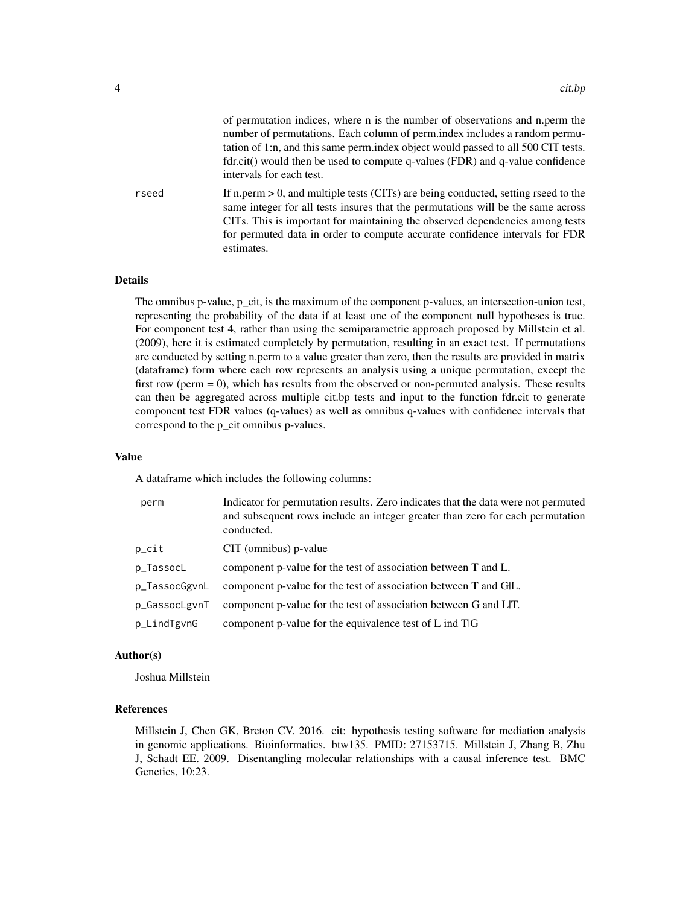of permutation indices, where n is the number of observations and n.perm the number of permutations. Each column of perm.index includes a random permutation of 1:n, and this same perm.index object would passed to all 500 CIT tests. fdr.cit() would then be used to compute q-values (FDR) and q-value confidence intervals for each test.

rseed If n.perm > 0, and multiple tests (CITs) are being conducted, setting rseed to the same integer for all tests insures that the permutations will be the same across CITs. This is important for maintaining the observed dependencies among tests for permuted data in order to compute accurate confidence intervals for FDR estimates.

#### Details

The omnibus p-value, p\_cit, is the maximum of the component p-values, an intersection-union test, representing the probability of the data if at least one of the component null hypotheses is true. For component test 4, rather than using the semiparametric approach proposed by Millstein et al. (2009), here it is estimated completely by permutation, resulting in an exact test. If permutations are conducted by setting n.perm to a value greater than zero, then the results are provided in matrix (dataframe) form where each row represents an analysis using a unique permutation, except the first row (perm = 0), which has results from the observed or non-permuted analysis. These results can then be aggregated across multiple cit.bp tests and input to the function fdr.cit to generate component test FDR values (q-values) as well as omnibus q-values with confidence intervals that correspond to the p\_cit omnibus p-values.

#### Value

A dataframe which includes the following columns:

| perm          | Indicator for permutation results. Zero indicates that the data were not permuted<br>and subsequent rows include an integer greater than zero for each permutation<br>conducted. |
|---------------|----------------------------------------------------------------------------------------------------------------------------------------------------------------------------------|
| p_cit         | CIT (omnibus) p-value                                                                                                                                                            |
| p_TassocL     | component p-value for the test of association between T and L.                                                                                                                   |
| p_TassocGgvnL | component p-value for the test of association between T and GIL.                                                                                                                 |
| p_GassocLgvnT | component p-value for the test of association between G and LIT.                                                                                                                 |
| p_LindTgvnG   | component p-value for the equivalence test of L ind TlG                                                                                                                          |

#### Author(s)

Joshua Millstein

## References

Millstein J, Chen GK, Breton CV. 2016. cit: hypothesis testing software for mediation analysis in genomic applications. Bioinformatics. btw135. PMID: 27153715. Millstein J, Zhang B, Zhu J, Schadt EE. 2009. Disentangling molecular relationships with a causal inference test. BMC Genetics, 10:23.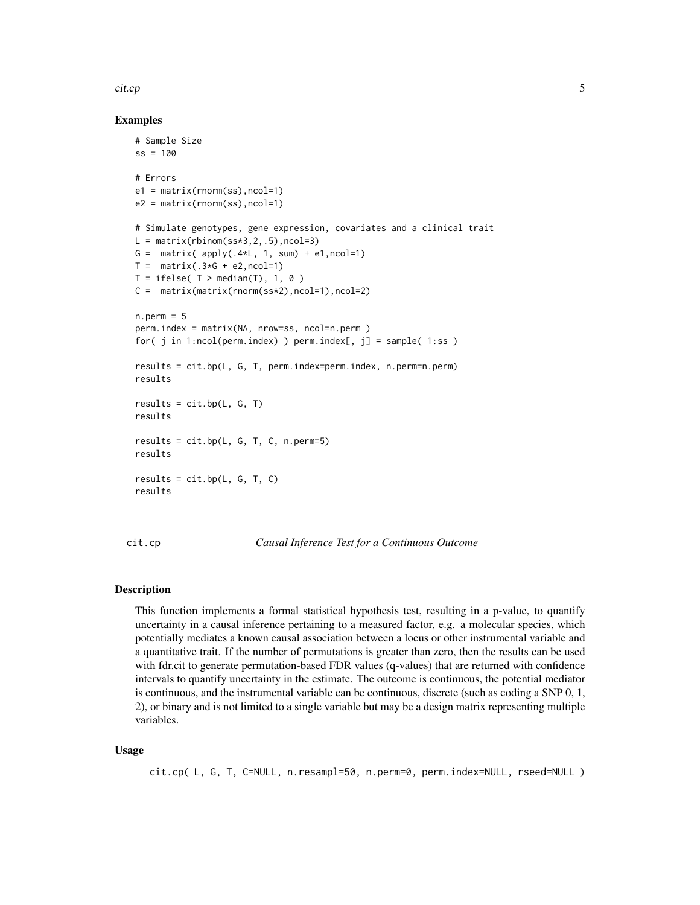#### <span id="page-4-0"></span>cit.cp 5

## Examples

```
# Sample Size
ss = 100# Errors
e1 = matrix(rnorm(ss),ncol=1)
e2 = matrix(rnorm(ss),ncol=1)
# Simulate genotypes, gene expression, covariates and a clinical trait
L = matrix(rbinom(s s * 3, 2, .5), ncol = 3)G = matrix(apply(.4*L, 1, sum) + e1, ncol=1)T = matrix(.3*G + e2, ncol=1)T = ifelse( T > median(T), 1, 0)C = matrix(matrix(rnorm(ss*2),ncol=1),ncol=2)
n.perm = 5
perm.index = matrix(NA, nrow=ss, ncol=n.perm )
for( j in 1:ncol(perm.index) ) perm.index[, j] = sample( 1:ss )
results = cit.bp(L, G, T, perm.index=perm.index, n.perm=n.perm)
results
results = cit.bp(L, G, T)results
results = cit.bp(L, G, T, C, n.perm=5)results
results = cit.bp(L, G, T, C)results
```
cit.cp *Causal Inference Test for a Continuous Outcome*

#### Description

This function implements a formal statistical hypothesis test, resulting in a p-value, to quantify uncertainty in a causal inference pertaining to a measured factor, e.g. a molecular species, which potentially mediates a known causal association between a locus or other instrumental variable and a quantitative trait. If the number of permutations is greater than zero, then the results can be used with fdr.cit to generate permutation-based FDR values (q-values) that are returned with confidence intervals to quantify uncertainty in the estimate. The outcome is continuous, the potential mediator is continuous, and the instrumental variable can be continuous, discrete (such as coding a SNP 0, 1, 2), or binary and is not limited to a single variable but may be a design matrix representing multiple variables.

#### Usage

cit.cp( L, G, T, C=NULL, n.resampl=50, n.perm=0, perm.index=NULL, rseed=NULL )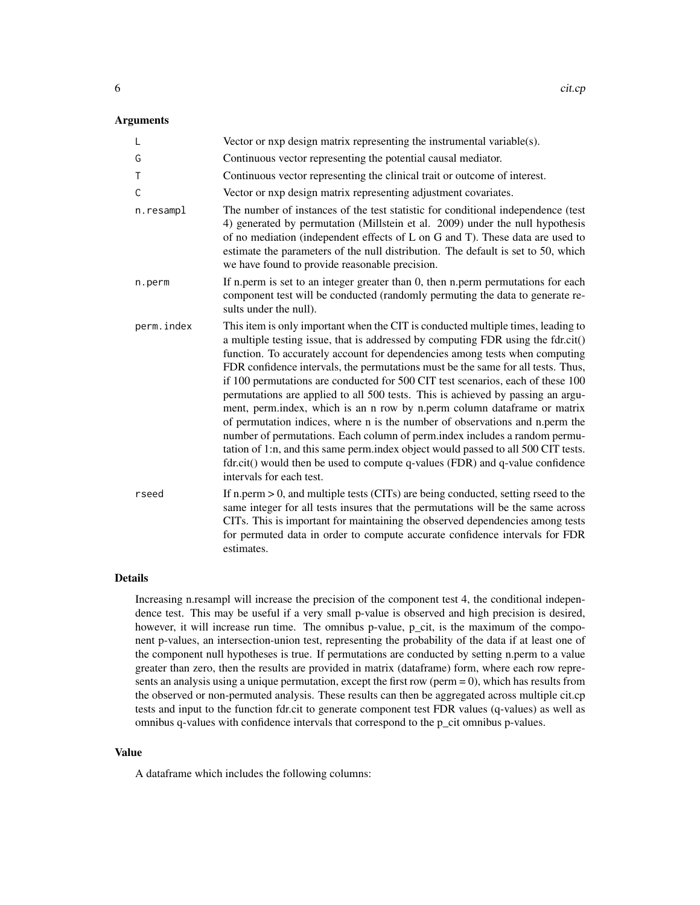#### Arguments

| L            | Vector or $nxp$ design matrix representing the instrumental variable $(s)$ .                                                                                                                                                                                                                                                                                                                                                                                                                                                                                                                                                                                                                                                                                                                                                                                                                                                                              |
|--------------|-----------------------------------------------------------------------------------------------------------------------------------------------------------------------------------------------------------------------------------------------------------------------------------------------------------------------------------------------------------------------------------------------------------------------------------------------------------------------------------------------------------------------------------------------------------------------------------------------------------------------------------------------------------------------------------------------------------------------------------------------------------------------------------------------------------------------------------------------------------------------------------------------------------------------------------------------------------|
| G            | Continuous vector representing the potential causal mediator.                                                                                                                                                                                                                                                                                                                                                                                                                                                                                                                                                                                                                                                                                                                                                                                                                                                                                             |
| Τ            | Continuous vector representing the clinical trait or outcome of interest.                                                                                                                                                                                                                                                                                                                                                                                                                                                                                                                                                                                                                                                                                                                                                                                                                                                                                 |
| $\mathsf{C}$ | Vector or nxp design matrix representing adjustment covariates.                                                                                                                                                                                                                                                                                                                                                                                                                                                                                                                                                                                                                                                                                                                                                                                                                                                                                           |
| n.resampl    | The number of instances of the test statistic for conditional independence (test)<br>4) generated by permutation (Millstein et al. 2009) under the null hypothesis<br>of no mediation (independent effects of L on G and T). These data are used to<br>estimate the parameters of the null distribution. The default is set to 50, which<br>we have found to provide reasonable precision.                                                                                                                                                                                                                                                                                                                                                                                                                                                                                                                                                                |
| n.perm       | If n.perm is set to an integer greater than 0, then n.perm permutations for each<br>component test will be conducted (randomly permuting the data to generate re-<br>sults under the null).                                                                                                                                                                                                                                                                                                                                                                                                                                                                                                                                                                                                                                                                                                                                                               |
| perm.index   | This item is only important when the CIT is conducted multiple times, leading to<br>a multiple testing issue, that is addressed by computing FDR using the fdr.cit()<br>function. To accurately account for dependencies among tests when computing<br>FDR confidence intervals, the permutations must be the same for all tests. Thus,<br>if 100 permutations are conducted for 500 CIT test scenarios, each of these 100<br>permutations are applied to all 500 tests. This is achieved by passing an argu-<br>ment, perm.index, which is an n row by n.perm column dataframe or matrix<br>of permutation indices, where n is the number of observations and n.perm the<br>number of permutations. Each column of perm.index includes a random permu-<br>tation of 1:n, and this same perm.index object would passed to all 500 CIT tests.<br>fdr.cit() would then be used to compute q-values (FDR) and q-value confidence<br>intervals for each test. |
| rseed        | If n.perm $> 0$ , and multiple tests (CITs) are being conducted, setting rseed to the<br>same integer for all tests insures that the permutations will be the same across<br>CITs. This is important for maintaining the observed dependencies among tests<br>for permuted data in order to compute accurate confidence intervals for FDR<br>estimates.                                                                                                                                                                                                                                                                                                                                                                                                                                                                                                                                                                                                   |

## Details

Increasing n.resampl will increase the precision of the component test 4, the conditional independence test. This may be useful if a very small p-value is observed and high precision is desired, however, it will increase run time. The omnibus p-value, p\_cit, is the maximum of the component p-values, an intersection-union test, representing the probability of the data if at least one of the component null hypotheses is true. If permutations are conducted by setting n.perm to a value greater than zero, then the results are provided in matrix (dataframe) form, where each row represents an analysis using a unique permutation, except the first row (perm  $= 0$ ), which has results from the observed or non-permuted analysis. These results can then be aggregated across multiple cit.cp tests and input to the function fdr.cit to generate component test FDR values (q-values) as well as omnibus q-values with confidence intervals that correspond to the p\_cit omnibus p-values.

#### Value

A dataframe which includes the following columns: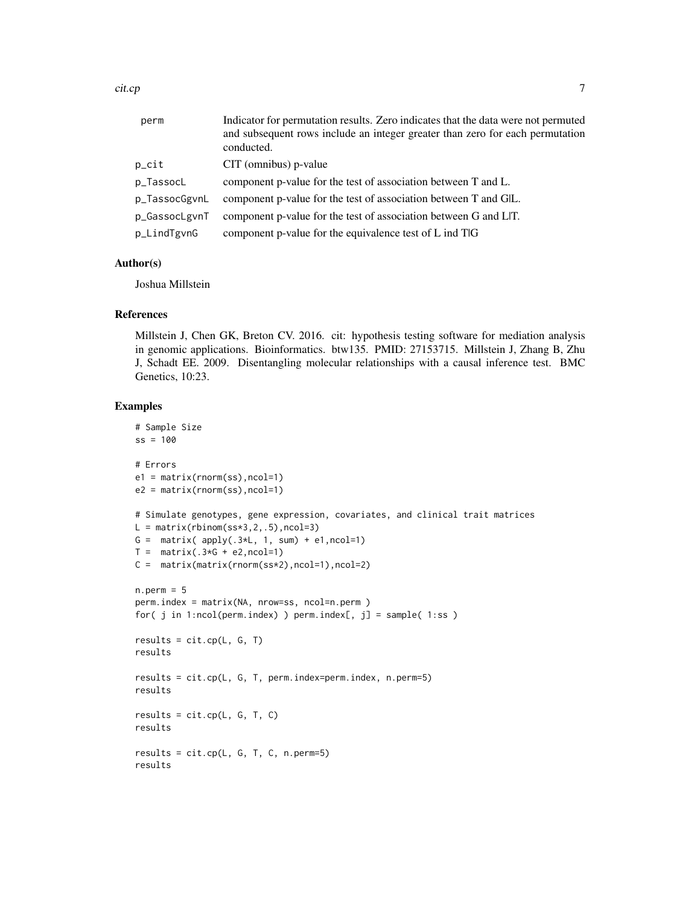| perm          | Indicator for permutation results. Zero indicates that the data were not permuted<br>and subsequent rows include an integer greater than zero for each permutation<br>conducted. |
|---------------|----------------------------------------------------------------------------------------------------------------------------------------------------------------------------------|
| p_cit         | CIT (omnibus) p-value                                                                                                                                                            |
| p_TassocL     | component p-value for the test of association between T and L.                                                                                                                   |
| p_TassocGgvnL | component p-value for the test of association between T and GIL.                                                                                                                 |
| p_GassocLgvnT | component p-value for the test of association between G and LIT.                                                                                                                 |
| p_LindTgvnG   | component p-value for the equivalence test of L ind TlG                                                                                                                          |

## Author(s)

Joshua Millstein

## References

Millstein J, Chen GK, Breton CV. 2016. cit: hypothesis testing software for mediation analysis in genomic applications. Bioinformatics. btw135. PMID: 27153715. Millstein J, Zhang B, Zhu J, Schadt EE. 2009. Disentangling molecular relationships with a causal inference test. BMC Genetics, 10:23.

```
# Sample Size
ss = 100# Errors
e1 = matrix(rnorm(ss),ncol=1)
e2 = matrix(rnorm(ss),ncol=1)
# Simulate genotypes, gene expression, covariates, and clinical trait matrices
L = matrix(rbinom(s s * 3, 2, .5), ncol = 3)G = matrix( apply(.3*L, 1, sum) + e1, ncol=1)
T = matrix(.3*G + e2, ncol=1)C = matrix(matrix(rnorm(ss*2),ncol=1),ncol=2)
n.perm = 5
perm.index = matrix(NA, nrow=ss, ncol=n.perm )
for( j in 1:ncol(perm.index) ) perm.index[, jj = sample( 1:ss )
results = cit.cp(L, G, T)
results
results = cit.cp(L, G, T, perm.index=perm.index, n.perm=5)
results
results = cit.cp(L, G, T, C)results
results = cit.cp(L, G, T, C, n.perm=5)
results
```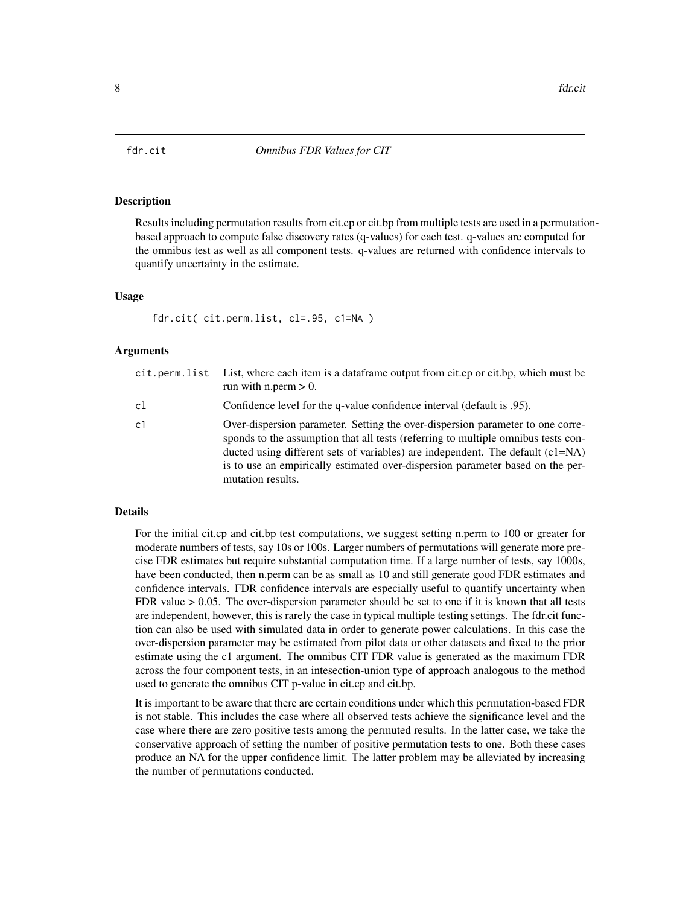<span id="page-7-0"></span>

#### Description

Results including permutation results from cit.cp or cit.bp from multiple tests are used in a permutationbased approach to compute false discovery rates (q-values) for each test. q-values are computed for the omnibus test as well as all component tests. q-values are returned with confidence intervals to quantify uncertainty in the estimate.

#### Usage

fdr.cit( cit.perm.list, cl=.95, c1=NA )

#### Arguments

|    | cit, perm. list List, where each item is a dataframe output from cit, cp or cit, bp, which must be<br>run with n.perm $> 0$ .                                                                                                                                                                                                                                  |
|----|----------------------------------------------------------------------------------------------------------------------------------------------------------------------------------------------------------------------------------------------------------------------------------------------------------------------------------------------------------------|
| cl | Confidence level for the q-value confidence interval (default is .95).                                                                                                                                                                                                                                                                                         |
| c1 | Over-dispersion parameter. Setting the over-dispersion parameter to one corre-<br>sponds to the assumption that all tests (referring to multiple omnibus tests con-<br>ducted using different sets of variables) are independent. The default $(c1=NA)$<br>is to use an empirically estimated over-dispersion parameter based on the per-<br>mutation results. |

## Details

For the initial cit.cp and cit.bp test computations, we suggest setting n.perm to 100 or greater for moderate numbers of tests, say 10s or 100s. Larger numbers of permutations will generate more precise FDR estimates but require substantial computation time. If a large number of tests, say 1000s, have been conducted, then n.perm can be as small as 10 and still generate good FDR estimates and confidence intervals. FDR confidence intervals are especially useful to quantify uncertainty when FDR value  $> 0.05$ . The over-dispersion parameter should be set to one if it is known that all tests are independent, however, this is rarely the case in typical multiple testing settings. The fdr.cit function can also be used with simulated data in order to generate power calculations. In this case the over-dispersion parameter may be estimated from pilot data or other datasets and fixed to the prior estimate using the c1 argument. The omnibus CIT FDR value is generated as the maximum FDR across the four component tests, in an intesection-union type of approach analogous to the method used to generate the omnibus CIT p-value in cit.cp and cit.bp.

It is important to be aware that there are certain conditions under which this permutation-based FDR is not stable. This includes the case where all observed tests achieve the significance level and the case where there are zero positive tests among the permuted results. In the latter case, we take the conservative approach of setting the number of positive permutation tests to one. Both these cases produce an NA for the upper confidence limit. The latter problem may be alleviated by increasing the number of permutations conducted.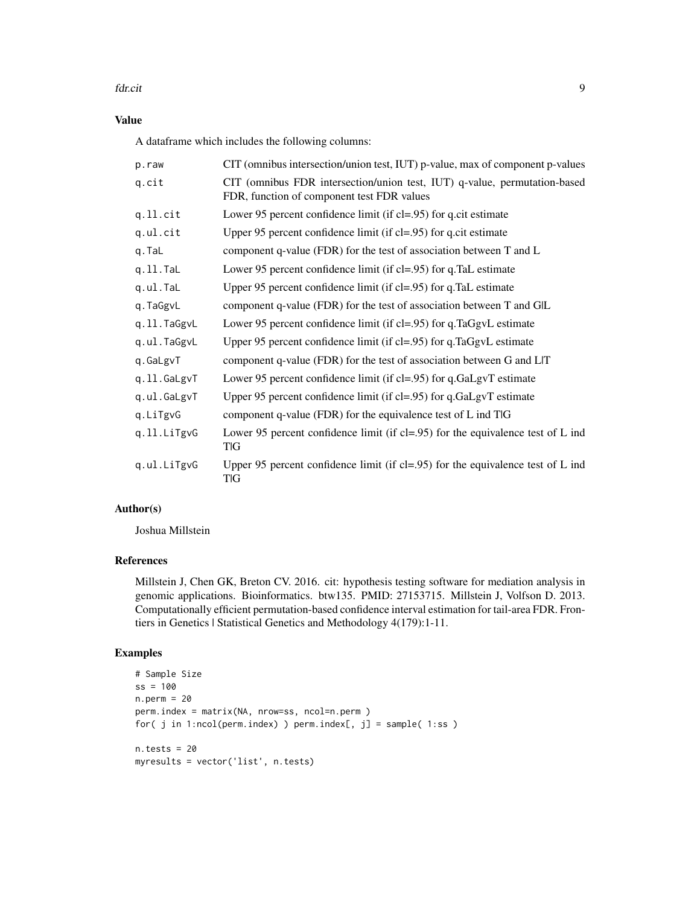#### fdr.cit 99

## Value

A dataframe which includes the following columns:

| p.raw       | CIT (omnibus intersection/union test, IUT) p-value, max of component p-values                                           |
|-------------|-------------------------------------------------------------------------------------------------------------------------|
| q.cit       | CIT (omnibus FDR intersection/union test, IUT) q-value, permutation-based<br>FDR, function of component test FDR values |
| $q.ll.$ cit | Lower 95 percent confidence limit (if cl=.95) for q.cit estimate                                                        |
| q.ul.cit    | Upper 95 percent confidence limit (if cl=.95) for q.cit estimate                                                        |
| q.TaL       | component q-value (FDR) for the test of association between T and L                                                     |
| q.ll.Tal    | Lower 95 percent confidence limit (if cl=.95) for q.TaL estimate                                                        |
| q.ul.TaL    | Upper 95 percent confidence limit (if cl=.95) for q.TaL estimate                                                        |
| q.TaGgvL    | component q-value (FDR) for the test of association between T and GIL                                                   |
| q.11.TaGgvL | Lower 95 percent confidence limit (if cl=.95) for q.TaGgvL estimate                                                     |
| q.ul.TaGgvL | Upper 95 percent confidence limit (if cl=.95) for q.TaGgvL estimate                                                     |
| q.GaLgvT    | component q-value (FDR) for the test of association between G and LIT                                                   |
| q.ll.GaLgvT | Lower 95 percent confidence limit (if cl=.95) for q.GaLgvT estimate                                                     |
| q.ul.GaLgvT | Upper 95 percent confidence limit (if cl=.95) for q.GaLgvT estimate                                                     |
| q.LiTgvG    | component q-value (FDR) for the equivalence test of $L$ ind $T G$                                                       |
| q.ll.LiTgvG | Lower 95 percent confidence limit (if $cl = .95$ ) for the equivalence test of L ind<br>TIG                             |
| q.ul.LiTgvG | Upper 95 percent confidence limit (if cl=.95) for the equivalence test of $L$ ind<br>TIG                                |

## Author(s)

Joshua Millstein

## References

Millstein J, Chen GK, Breton CV. 2016. cit: hypothesis testing software for mediation analysis in genomic applications. Bioinformatics. btw135. PMID: 27153715. Millstein J, Volfson D. 2013. Computationally efficient permutation-based confidence interval estimation for tail-area FDR. Frontiers in Genetics | Statistical Genetics and Methodology 4(179):1-11.

```
# Sample Size
ss = 100n.perm = 20
perm.index = matrix(NA, nrow=ss, ncol=n.perm )
for( j in 1:ncol(perm.index) ) perm.index[, j] = sample( 1:ss )
n.tests = 20
myresults = vector('list', n.tests)
```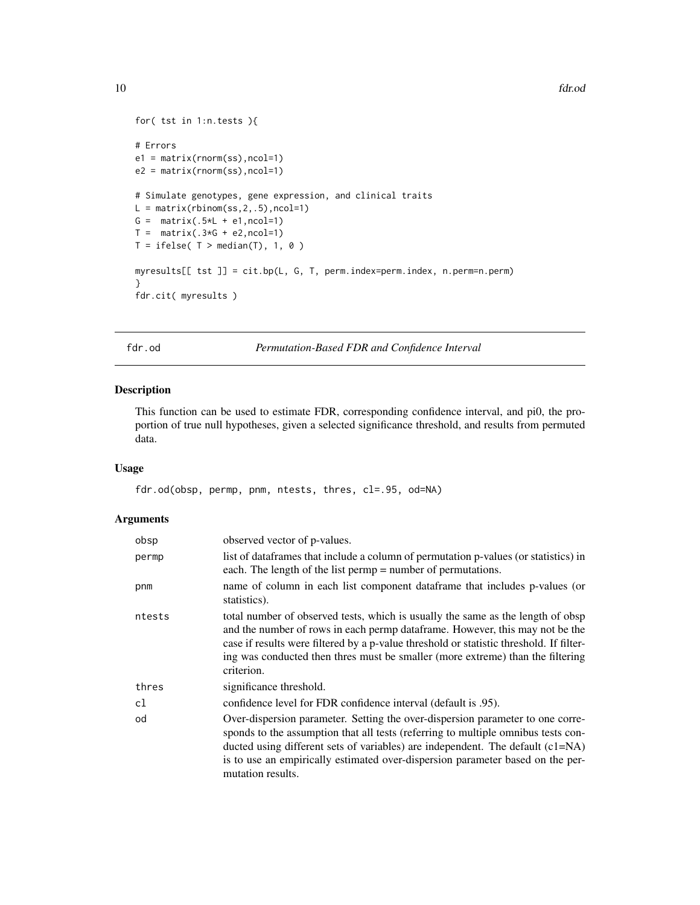```
for( tst in 1:n.tests ){
# Errors
e1 = matrix(rnorm(ss),ncol=1)
e2 = matrix(rnorm(ss),ncol=1)
# Simulate genotypes, gene expression, and clinical traits
L = matrix(rbinom(s_5, 2, .5), ncol=1)G = matrix(.5*L + e1, ncol=1)T = matrix(.3*G + e2, ncol=1)T = ifelse( T > median(T), 1, 0)myresults[[ tst ]] = cit.bp(L, G, T, perm.index=perm.index, n.perm=n.perm)
}
fdr.cit( myresults )
```
fdr.od *Permutation-Based FDR and Confidence Interval*

## Description

This function can be used to estimate FDR, corresponding confidence interval, and pi0, the proportion of true null hypotheses, given a selected significance threshold, and results from permuted data.

## Usage

fdr.od(obsp, permp, pnm, ntests, thres, cl=.95, od=NA)

#### Arguments

| obsp   | observed vector of p-values.                                                                                                                                                                                                                                                                                                                                 |
|--------|--------------------------------------------------------------------------------------------------------------------------------------------------------------------------------------------------------------------------------------------------------------------------------------------------------------------------------------------------------------|
| permp  | list of data frames that include a column of permutation p-values (or statistics) in<br>each. The length of the list permp = number of permutations.                                                                                                                                                                                                         |
| pnm    | name of column in each list component dataframe that includes p-values (or<br>statistics).                                                                                                                                                                                                                                                                   |
| ntests | total number of observed tests, which is usually the same as the length of obsp<br>and the number of rows in each permp dataframe. However, this may not be the<br>case if results were filtered by a p-value threshold or statistic threshold. If filter-<br>ing was conducted then thres must be smaller (more extreme) than the filtering<br>criterion.   |
| thres  | significance threshold.                                                                                                                                                                                                                                                                                                                                      |
| cl     | confidence level for FDR confidence interval (default is .95).                                                                                                                                                                                                                                                                                               |
| od     | Over-dispersion parameter. Setting the over-dispersion parameter to one corre-<br>sponds to the assumption that all tests (referring to multiple omnibus tests con-<br>ducted using different sets of variables) are independent. The default (c1=NA)<br>is to use an empirically estimated over-dispersion parameter based on the per-<br>mutation results. |

<span id="page-9-0"></span>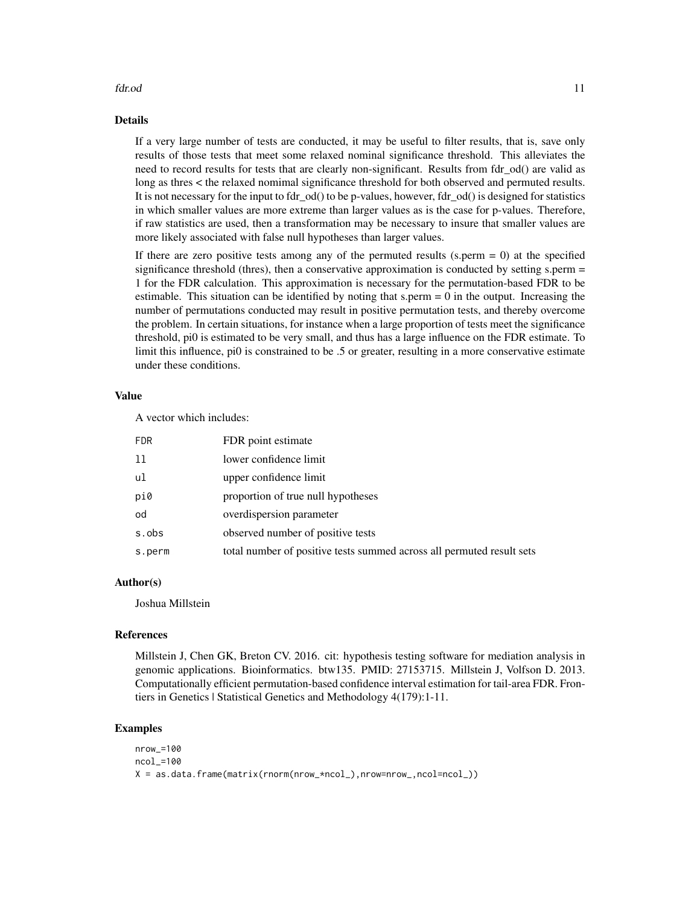#### fdr.od 11

## Details

If a very large number of tests are conducted, it may be useful to filter results, that is, save only results of those tests that meet some relaxed nominal significance threshold. This alleviates the need to record results for tests that are clearly non-significant. Results from fdr\_od() are valid as long as thres < the relaxed nomimal significance threshold for both observed and permuted results. It is not necessary for the input to fdr\_od() to be p-values, however, fdr\_od() is designed for statistics in which smaller values are more extreme than larger values as is the case for p-values. Therefore, if raw statistics are used, then a transformation may be necessary to insure that smaller values are more likely associated with false null hypotheses than larger values.

If there are zero positive tests among any of the permuted results (s.perm  $= 0$ ) at the specified significance threshold (thres), then a conservative approximation is conducted by setting s.perm = 1 for the FDR calculation. This approximation is necessary for the permutation-based FDR to be estimable. This situation can be identified by noting that s.perm  $= 0$  in the output. Increasing the number of permutations conducted may result in positive permutation tests, and thereby overcome the problem. In certain situations, for instance when a large proportion of tests meet the significance threshold, pi0 is estimated to be very small, and thus has a large influence on the FDR estimate. To limit this influence, pi0 is constrained to be .5 or greater, resulting in a more conservative estimate under these conditions.

## Value

A vector which includes:

| <b>FDR</b> | FDR point estimate                                                    |
|------------|-----------------------------------------------------------------------|
| 11         | lower confidence limit                                                |
| ul         | upper confidence limit                                                |
| pi0        | proportion of true null hypotheses                                    |
| od         | overdispersion parameter                                              |
| s.obs      | observed number of positive tests                                     |
| s.perm     | total number of positive tests summed across all permuted result sets |

## Author(s)

Joshua Millstein

## References

Millstein J, Chen GK, Breton CV. 2016. cit: hypothesis testing software for mediation analysis in genomic applications. Bioinformatics. btw135. PMID: 27153715. Millstein J, Volfson D. 2013. Computationally efficient permutation-based confidence interval estimation for tail-area FDR. Frontiers in Genetics | Statistical Genetics and Methodology 4(179):1-11.

```
nrow_=100
ncol_=100
X = as.data.frame(matrix(rnorm(nrow_*ncol_),nrow=nrow_,ncol=ncol_))
```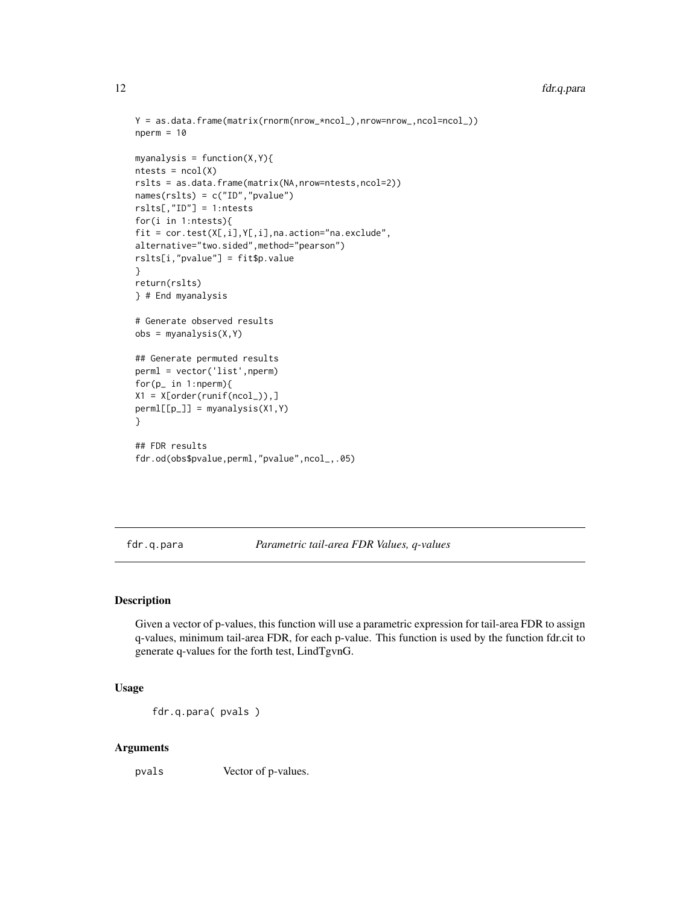```
Y = as.data.frame(matrix(rnorm(nrow_*ncol_),nrow=nrow_,ncol=ncol_))
nperm = 10myanalysis = function(X, Y)ntests = ncol(X)rslts = as.data.frame(matrix(NA,nrow=ntests,ncol=2))
names(rslts) = c("ID","pvalue")
rslts[,"ID"] = 1:ntests
for(i in 1:ntests){
fit = cor.test(X[,i],Y[,i],na.action="na.exclude",
alternative="two.sided",method="pearson")
rslts[i,"pvalue"] = fit$p.value
}
return(rslts)
} # End myanalysis
# Generate observed results
obs = myanalysis(X,Y)
## Generate permuted results
perml = vector('list',nperm)
for(p_ in 1:nperm){
X1 = X[order(runif(ncol_)),]
perm[[p_]] = myanalysis(X1,Y)}
## FDR results
fdr.od(obs$pvalue,perml,"pvalue",ncol_,.05)
```
fdr.q.para *Parametric tail-area FDR Values, q-values*

#### Description

Given a vector of p-values, this function will use a parametric expression for tail-area FDR to assign q-values, minimum tail-area FDR, for each p-value. This function is used by the function fdr.cit to generate q-values for the forth test, LindTgvnG.

#### Usage

fdr.q.para( pvals )

#### Arguments

pvals Vector of p-values.

<span id="page-11-0"></span>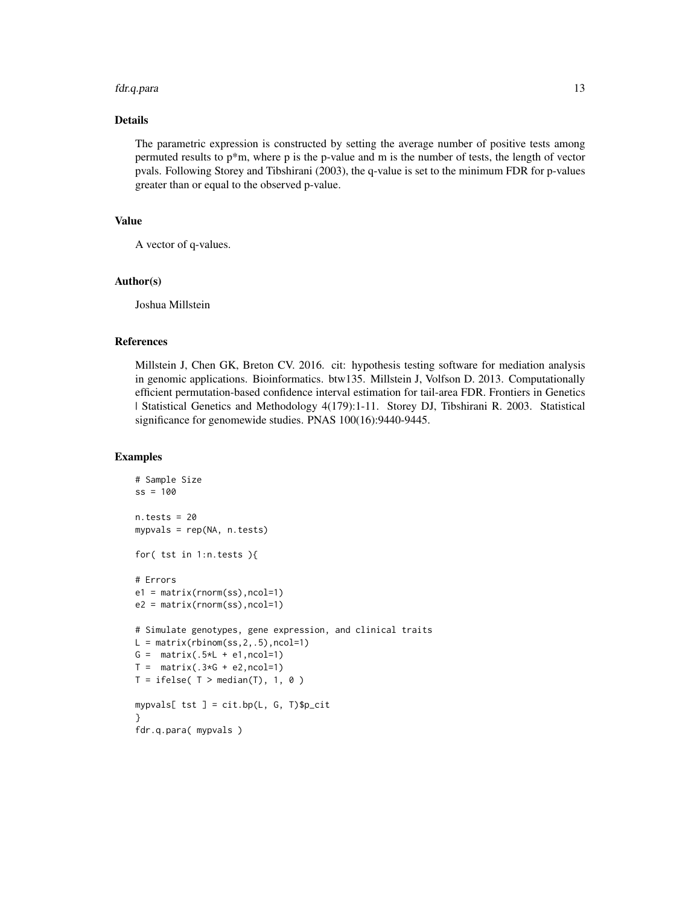#### fdr.q.para 13

## Details

The parametric expression is constructed by setting the average number of positive tests among permuted results to p\*m, where p is the p-value and m is the number of tests, the length of vector pvals. Following Storey and Tibshirani (2003), the q-value is set to the minimum FDR for p-values greater than or equal to the observed p-value.

## Value

A vector of q-values.

## Author(s)

Joshua Millstein

## References

Millstein J, Chen GK, Breton CV. 2016. cit: hypothesis testing software for mediation analysis in genomic applications. Bioinformatics. btw135. Millstein J, Volfson D. 2013. Computationally efficient permutation-based confidence interval estimation for tail-area FDR. Frontiers in Genetics | Statistical Genetics and Methodology 4(179):1-11. Storey DJ, Tibshirani R. 2003. Statistical significance for genomewide studies. PNAS 100(16):9440-9445.

```
# Sample Size
ss = 100n.tests = 20
mypvals = rep(NA, n.tests)
for( tst in 1:n.tests ){
# Errors
e1 = matrix(rnorm(ss),ncol=1)
e2 = matrix(rnorm(ss),ncol=1)
# Simulate genotypes, gene expression, and clinical traits
L = matrix(rbinom(s, 2, .5), ncol=1)G = matrix(.5*L + e1, ncol=1)T = matrix(.3*G + e2, ncol=1)T = ifelse( T > median(T), 1, 0)mypvals[ tst ] = cit.bp(L, G, T)$p_cit
}
fdr.q.para( mypvals )
```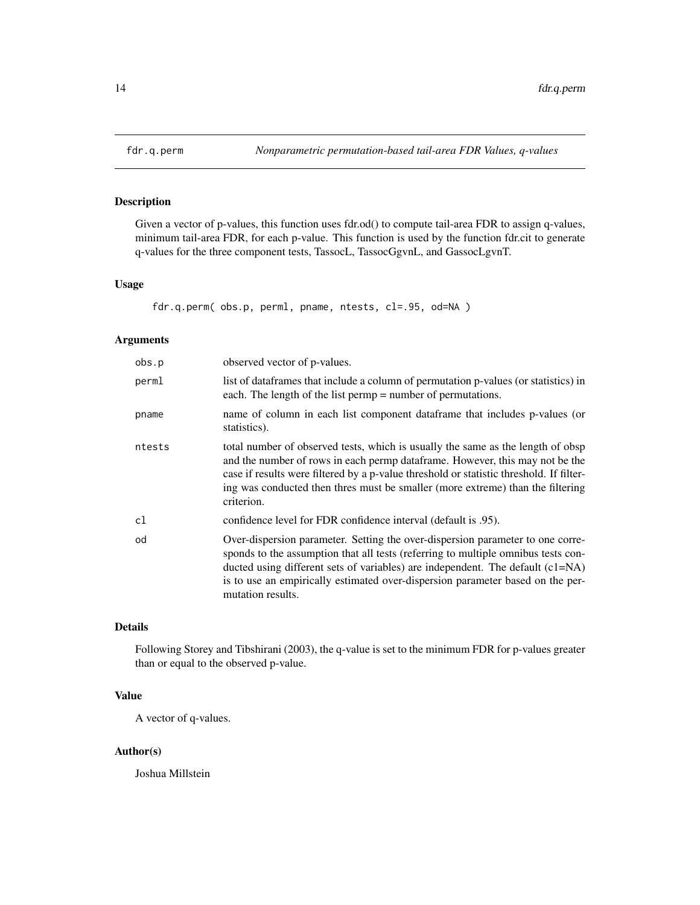## Description

Given a vector of p-values, this function uses fdr.od() to compute tail-area FDR to assign q-values, minimum tail-area FDR, for each p-value. This function is used by the function fdr.cit to generate q-values for the three component tests, TassocL, TassocGgvnL, and GassocLgvnT.

## Usage

fdr.q.perm( obs.p, perml, pname, ntests, cl=.95, od=NA )

## Arguments

| observed vector of p-values.                                                                                                                                                                                                                                                                                                                                   |
|----------------------------------------------------------------------------------------------------------------------------------------------------------------------------------------------------------------------------------------------------------------------------------------------------------------------------------------------------------------|
| list of data frames that include a column of permutation p-values (or statistics) in<br>each. The length of the list permp = number of permutations.                                                                                                                                                                                                           |
| name of column in each list component dataframe that includes p-values (or<br>statistics).                                                                                                                                                                                                                                                                     |
| total number of observed tests, which is usually the same as the length of obsp<br>and the number of rows in each permp dataframe. However, this may not be the<br>case if results were filtered by a p-value threshold or statistic threshold. If filter-<br>ing was conducted then thres must be smaller (more extreme) than the filtering<br>criterion.     |
| confidence level for FDR confidence interval (default is .95).                                                                                                                                                                                                                                                                                                 |
| Over-dispersion parameter. Setting the over-dispersion parameter to one corre-<br>sponds to the assumption that all tests (referring to multiple omnibus tests con-<br>ducted using different sets of variables) are independent. The default $(c1=NA)$<br>is to use an empirically estimated over-dispersion parameter based on the per-<br>mutation results. |
|                                                                                                                                                                                                                                                                                                                                                                |

## Details

Following Storey and Tibshirani (2003), the q-value is set to the minimum FDR for p-values greater than or equal to the observed p-value.

## Value

A vector of q-values.

#### Author(s)

Joshua Millstein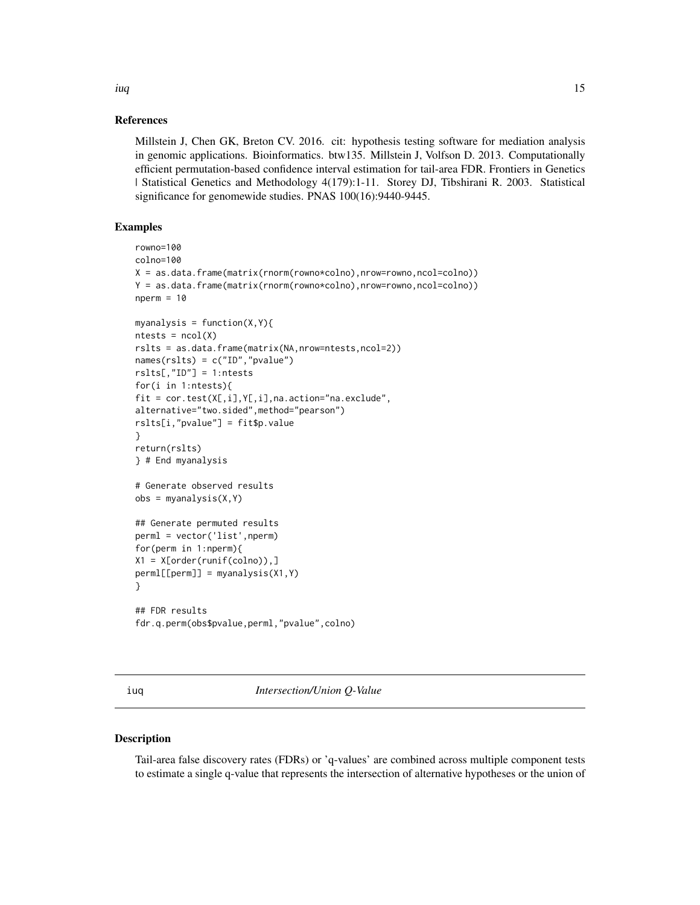#### <span id="page-14-0"></span>References

Millstein J, Chen GK, Breton CV. 2016. cit: hypothesis testing software for mediation analysis in genomic applications. Bioinformatics. btw135. Millstein J, Volfson D. 2013. Computationally efficient permutation-based confidence interval estimation for tail-area FDR. Frontiers in Genetics | Statistical Genetics and Methodology 4(179):1-11. Storey DJ, Tibshirani R. 2003. Statistical significance for genomewide studies. PNAS 100(16):9440-9445.

## Examples

```
rowno=100
colno=100
X = as.data.frame(matrix(rnorm(rowno*colno),nrow=rowno,ncol=colno))
Y = as.data.frame(matrix(rnorm(rowno*colno),nrow=rowno,ncol=colno))
nperm = 10myanalysis = function(X, Y)ntests = ncol(X)rslts = as.data.frame(matrix(NA,nrow=ntests,ncol=2))
names(rslts) = c("ID","pvalue")
rslts[,"ID"] = 1:ntests
for(i in 1:ntests){
fit = cor.test(X[,i],Y[,i],na.action="na.exclude",
alternative="two.sided",method="pearson")
rslts[i,"pvalue"] = fit$p.value
}
return(rslts)
} # End myanalysis
# Generate observed results
obs = myanalysis(X, Y)## Generate permuted results
perml = vector('list',nperm)
for(perm in 1:nperm){
X1 = X[order(runif(colno)),]
perml[[perm]] = myanalysis(X1,Y)
}
## FDR results
fdr.q.perm(obs$pvalue,perml,"pvalue",colno)
```
iuq *Intersection/Union Q-Value*

#### Description

Tail-area false discovery rates (FDRs) or 'q-values' are combined across multiple component tests to estimate a single q-value that represents the intersection of alternative hypotheses or the union of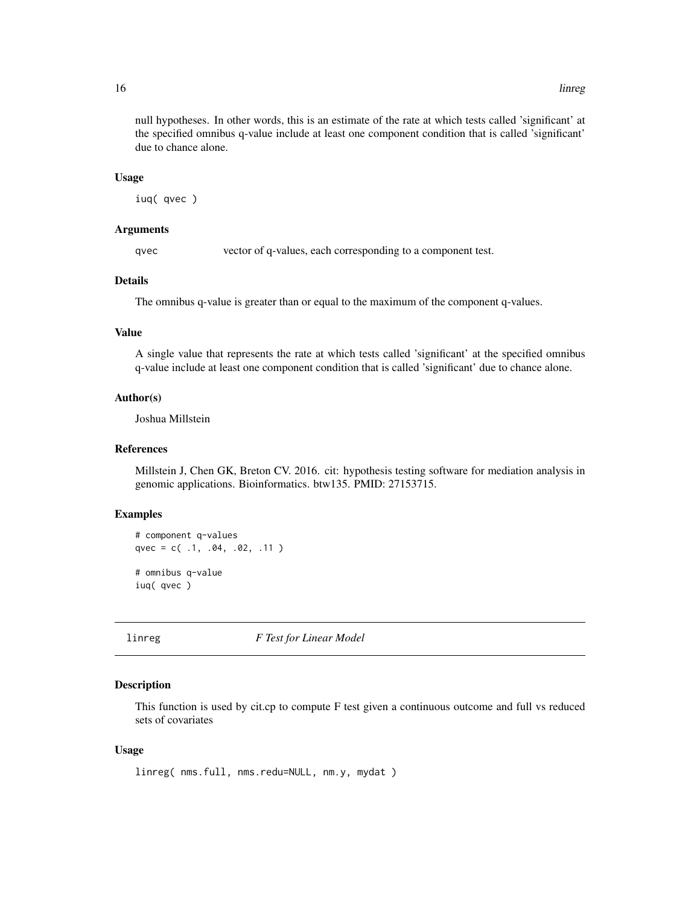<span id="page-15-0"></span>null hypotheses. In other words, this is an estimate of the rate at which tests called 'significant' at the specified omnibus q-value include at least one component condition that is called 'significant' due to chance alone.

#### Usage

iuq( qvec )

## Arguments

qvec vector of q-values, each corresponding to a component test.

#### Details

The omnibus q-value is greater than or equal to the maximum of the component q-values.

## Value

A single value that represents the rate at which tests called 'significant' at the specified omnibus q-value include at least one component condition that is called 'significant' due to chance alone.

#### Author(s)

Joshua Millstein

#### References

Millstein J, Chen GK, Breton CV. 2016. cit: hypothesis testing software for mediation analysis in genomic applications. Bioinformatics. btw135. PMID: 27153715.

## Examples

```
# component q-values
qvec = c(.1, .04, .02, .11)# omnibus q-value
iuq( qvec )
```
linreg *F Test for Linear Model*

## Description

This function is used by cit.cp to compute F test given a continuous outcome and full vs reduced sets of covariates

#### Usage

```
linreg( nms.full, nms.redu=NULL, nm.y, mydat )
```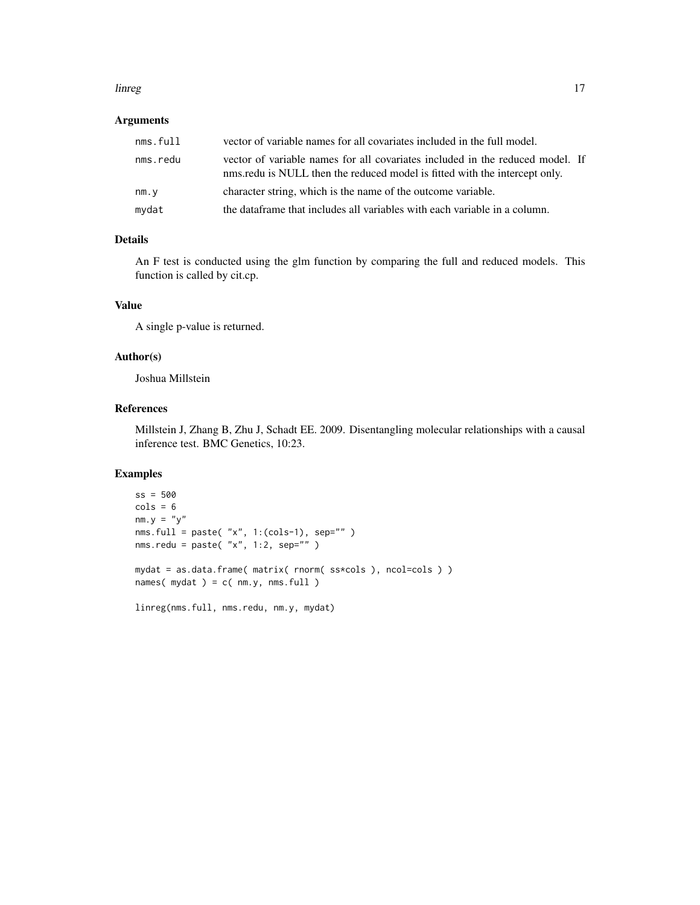#### linreg the contract of the contract of the contract of the contract of the contract of the contract of the contract of the contract of the contract of the contract of the contract of the contract of the contract of the con

## Arguments

| nms.full | vector of variable names for all covariates included in the full model.                                                                                     |
|----------|-------------------------------------------------------------------------------------------------------------------------------------------------------------|
| nms.redu | vector of variable names for all covariates included in the reduced model. If<br>nms.redu is NULL then the reduced model is fitted with the intercept only. |
| nm.y     | character string, which is the name of the outcome variable.                                                                                                |
| mydat    | the dataframe that includes all variables with each variable in a column.                                                                                   |

## Details

An F test is conducted using the glm function by comparing the full and reduced models. This function is called by cit.cp.

## Value

A single p-value is returned.

## Author(s)

Joshua Millstein

## References

Millstein J, Zhang B, Zhu J, Schadt EE. 2009. Disentangling molecular relationships with a causal inference test. BMC Genetics, 10:23.

```
ss = 500
cols = 6nm.y = "y"nms.full = paste( "x", 1:(cols-1), sep="" )
nms.redu = paste( "x", 1:2, sep="" )
mydat = as.data.frame( matrix( rnorm( ss*cols ), ncol=cols ) )
names(mydat) = c(m, y, nms-full)linreg(nms.full, nms.redu, nm.y, mydat)
```